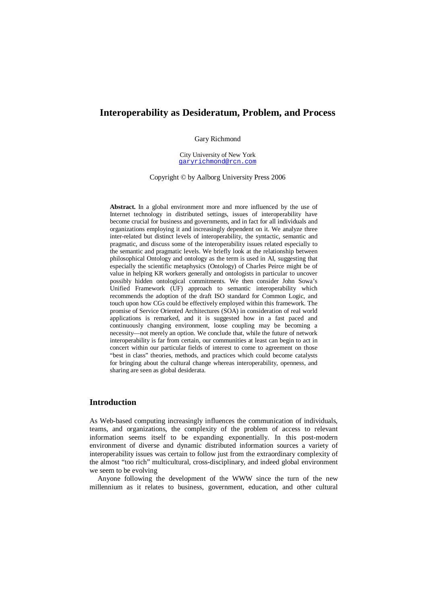# **Interoperability as Desideratum, Problem, and Process**

Gary Richmond

City University of New York garyrichmond@rcn.com

Copyright © by Aalborg University Press 2006

**Abstract.** In a global environment more and more influenced by the use of Internet technology in distributed settings, issues of interoperability have become crucial for business and governments, and in fact for all individuals and organizations employing it and increasingly dependent on it. We analyze three inter-related but distinct levels of interoperability, the syntactic, semantic and pragmatic, and discuss some of the interoperability issues related especially to the semantic and pragmatic levels. We briefly look at the relationship between philosophical Ontology and ontology as the term is used in AI, suggesting that especially the scientific metaphysics (Ontology) of Charles Peirce might be of value in helping KR workers generally and ontologists in particular to uncover possibly hidden ontological commitments. We then consider John Sowa's Unified Framework (UF) approach to semantic interoperability which recommends the adoption of the draft ISO standard for Common Logic, and touch upon how CGs could be effectively employed within this framework. The promise of Service Oriented Architectures (SOA) in consideration of real world applications is remarked, and it is suggested how in a fast paced and continuously changing environment, loose coupling may be becoming a necessity—not merely an option. We conclude that, while the future of network interoperability is far from certain, our communities at least can begin to act in concert within our particular fields of interest to come to agreement on those "best in class" theories, methods, and practices which could become catalysts for bringing about the cultural change whereas interoperability, openness, and sharing are seen as global desiderata.

## **Introduction**

As Web-based computing increasingly influences the communication of individuals, teams, and organizations, the complexity of the problem of access to relevant information seems itself to be expanding exponentially. In this post-modern environment of diverse and dynamic distributed information sources a variety of interoperability issues was certain to follow just from the extraordinary complexity of the almost "too rich" multicultural, cross-disciplinary, and indeed global environment we seem to be evolving

Anyone following the development of the WWW since the turn of the new millennium as it relates to business, government, education, and other cultural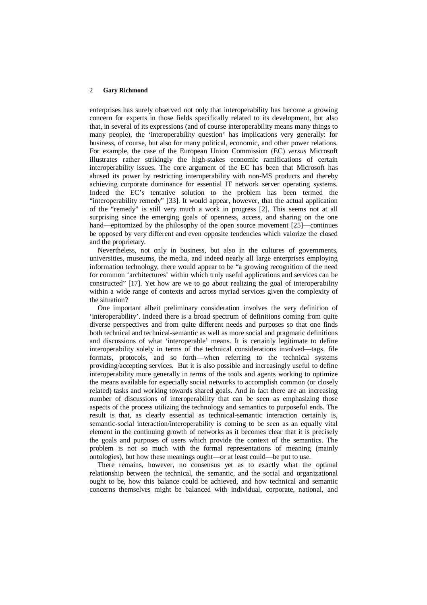enterprises has surely observed not only that interoperability has become a growing concern for experts in those fields specifically related to its development, but also that, in several of its expressions (and of course interoperability means many things to many people), the 'interoperability question' has implications very generally: for business, of course, but also for many political, economic, and other power relations. For example, the case of the European Union Commission (EC) *versus* Microsoft illustrates rather strikingly the high-stakes economic ramifications of certain interoperability issues. The core argument of the EC has been that Microsoft has abused its power by restricting interoperability with non-MS products and thereby achieving corporate dominance for essential IT network server operating systems. Indeed the EC's tentative solution to the problem has been termed the "interoperability remedy" [33]. It would appear, however, that the actual application of the "remedy" is still very much a work in progress [2]. This seems not at all surprising since the emerging goals of openness, access, and sharing on the one hand—epitomized by the philosophy of the open source movement [25]—continues be opposed by very different and even opposite tendencies which valorize the closed and the proprietary.

Nevertheless, not only in business, but also in the cultures of governments, universities, museums, the media, and indeed nearly all large enterprises employing information technology, there would appear to be "a growing recognition of the need for common 'architectures' within which truly useful applications and services can be constructed" [17]. Yet how are we to go about realizing the goal of interoperability within a wide range of contexts and across myriad services given the complexity of the situation?

One important albeit preliminary consideration involves the very definition of 'interoperability'. Indeed there is a broad spectrum of definitions coming from quite diverse perspectives and from quite different needs and purposes so that one finds both technical and technical-semantic as well as more social and pragmatic definitions and discussions of what 'interoperable' means. It is certainly legitimate to define interoperability solely in terms of the technical considerations involved—tags, file formats, protocols, and so forth—when referring to the technical systems providing/accepting services. But it is also possible and increasingly useful to define interoperability more generally in terms of the tools and agents working to optimize the means available for especially social networks to accomplish common (or closely related) tasks and working towards shared goals. And in fact there are an increasing number of discussions of interoperability that can be seen as emphasizing those aspects of the process utilizing the technology and semantics to purposeful ends. The result is that, as clearly essential as technical-semantic interaction certainly is, semantic-social interaction/interoperability is coming to be seen as an equally vital element in the continuing growth of networks as it becomes clear that it is precisely the goals and purposes of users which provide the context of the semantics. The problem is not so much with the formal representations of meaning (mainly ontologies), but how these meanings ought—or at least could—be put to use.

There remains, however, no consensus yet as to exactly what the optimal relationship between the technical, the semantic, and the social and organizational ought to be, how this balance could be achieved, and how technical and semantic concerns themselves might be balanced with individual, corporate, national, and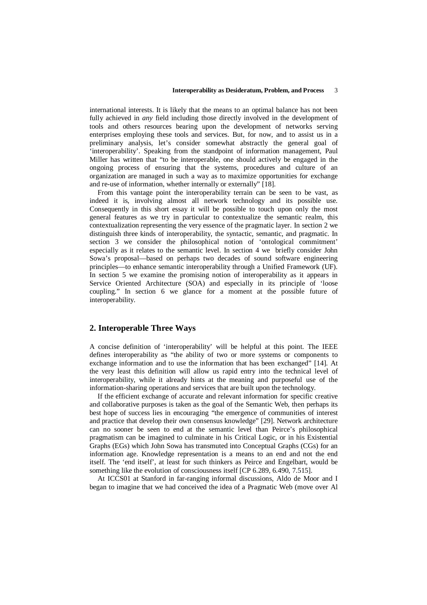international interests. It is likely that the means to an optimal balance has not been fully achieved in *any* field including those directly involved in the development of tools and others resources bearing upon the development of networks serving enterprises employing these tools and services. But, for now, and to assist us in a preliminary analysis, let's consider somewhat abstractly the general goal of 'interoperability'. Speaking from the standpoint of information management, Paul Miller has written that "to be interoperable, one should actively be engaged in the ongoing process of ensuring that the systems, procedures and culture of an organization are managed in such a way as to maximize opportunities for exchange and re-use of information, whether internally or externally" [18].

From this vantage point the interoperability terrain can be seen to be vast, as indeed it is, involving almost all network technology and its possible use. Consequently in this short essay it will be possible to touch upon only the most general features as we try in particular to contextualize the semantic realm, this contextualization representing the very essence of the pragmatic layer. In section 2 we distinguish three kinds of interoperability, the syntactic, semantic, and pragmatic. In section 3 we consider the philosophical notion of 'ontological commitment' especially as it relates to the semantic level. In section 4 we briefly consider John Sowa's proposal—based on perhaps two decades of sound software engineering principles—to enhance semantic interoperability through a Unified Framework (UF). In section 5 we examine the promising notion of interoperability as it appears in Service Oriented Architecture (SOA) and especially in its principle of 'loose coupling." In section 6 we glance for a moment at the possible future of interoperability.

## **2. Interoperable Three Ways**

A concise definition of 'interoperability' will be helpful at this point. The IEEE defines interoperability as "the ability of two or more systems or components to exchange information and to use the information that has been exchanged" [14]. At the very least this definition will allow us rapid entry into the technical level of interoperability, while it already hints at the meaning and purposeful use of the information-sharing operations and services that are built upon the technology.

If the efficient exchange of accurate and relevant information for specific creative and collaborative purposes is taken as the goal of the Semantic Web, then perhaps its best hope of success lies in encouraging "the emergence of communities of interest and practice that develop their own consensus knowledge" [29]. Network architecture can no sooner be seen to end at the semantic level than Peirce's philosophical pragmatism can be imagined to culminate in his Critical Logic, or in his Existential Graphs (EGs) which John Sowa has transmuted into Conceptual Graphs (CGs) for an information age. Knowledge representation is a means to an end and not the end itself. The 'end itself', at least for such thinkers as Peirce and Engelbart, would be something like the evolution of consciousness itself [CP 6.289, 6.490, 7.515].

At ICCS01 at Stanford in far-ranging informal discussions, Aldo de Moor and I began to imagine that we had conceived the idea of a Pragmatic Web (move over Al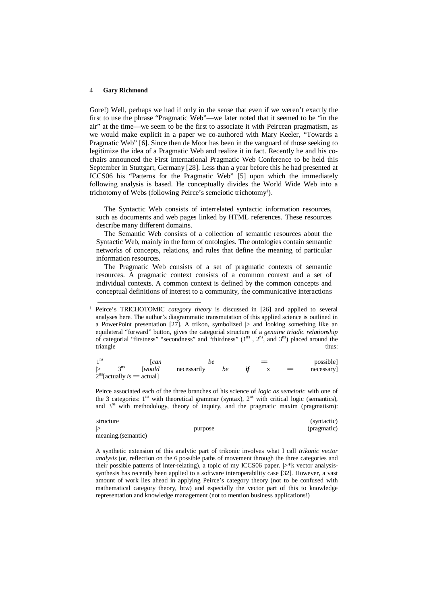l

Gore!) Well, perhaps we had if only in the sense that even if we weren't exactly the first to use the phrase "Pragmatic Web"—we later noted that it seemed to be "in the air" at the time—we seem to be the first to associate it with Peircean pragmatism, as we would make explicit in a paper we co-authored with Mary Keeler, "Towards a Pragmatic Web" [6]. Since then de Moor has been in the vanguard of those seeking to legitimize the idea of a Pragmatic Web and realize it in fact. Recently he and his cochairs announced the First International Pragmatic Web Conference to be held this September in Stuttgart, Germany [28]. Less than a year before this he had presented at ICCS06 his "Patterns for the Pragmatic Web" [5] upon which the immediately following analysis is based. He conceptually divides the World Wide Web into a trichotomy of Webs (following Peirce's semeiotic trichotomy<sup>1</sup>).

The Syntactic Web consists of interrelated syntactic information resources, such as documents and web pages linked by HTML references. These resources describe many different domains.

The Semantic Web consists of a collection of semantic resources about the Syntactic Web, mainly in the form of ontologies. The ontologies contain semantic networks of concepts, relations, and rules that define the meaning of particular information resources.

The Pragmatic Web consists of a set of pragmatic contexts of semantic resources. A pragmatic context consists of a common context and a set of individual contexts. A common context is defined by the common concepts and conceptual definitions of interest to a community, the communicative interactions

<sup>1</sup> Peirce's TRICHOTOMIC *category theory* is discussed in [26] and applied to several analyses here. The author's diagrammatic transmutation of this applied science is outlined in a PowerPoint presentation  $[27]$ . A trikon, symbolized  $|>$  and looking something like an equilateral "forward" button, gives the categorial structure of a *genuine triadic relationship* of categorial "firstness" "secondness" and "thirdness" ( $1^{ns}$ ,  $2^{ns}$ , and  $3^{ns}$ ) placed around the triangle thus: the contract of the contract of the contract of the contract of the contract of the contract of the contract of the contract of the contract of the contract of the contract of the contract of the contract of

| 1 <sup>ns</sup> |              | l can                                         | be          |    | $=$ |     | possible] |
|-----------------|--------------|-----------------------------------------------|-------------|----|-----|-----|-----------|
| $\vert$         | $3^{\rm ns}$ | <i>would</i>                                  | necessarily | be |     | $=$ | necessary |
|                 |              | $2^{\text{ns}}$ [actually <i>is</i> = actual] |             |    |     |     |           |

Peirce associated each of the three branches of his science of *logic as semeiotic* with one of the 3 categories:  $1^{ns}$  with theoretical grammar (syntax),  $2^{ns}$  with critical logic (semantics), and  $3<sup>ns</sup>$  with methodology, theory of inquiry, and the pragmatic maxim (pragmatism):

| structure          | (syntactic) |             |  |
|--------------------|-------------|-------------|--|
|                    | purpose     | (pragmatic) |  |
| meaning.(semantic) |             |             |  |

A synthetic extension of this analytic part of trikonic involves what I call *trikonic vector analysis* (or, reflection on the 6 possible paths of movement through the three categories and their possible patterns of inter-relating), a topic of my ICCS06 paper. |>\*k vector analysissynthesis has recently been applied to a software interoperability case [32]. However, a vast amount of work lies ahead in applying Peirce's category theory (not to be confused with mathematical category theory, btw) and especially the vector part of this to knowledge representation and knowledge management (not to mention business applications!)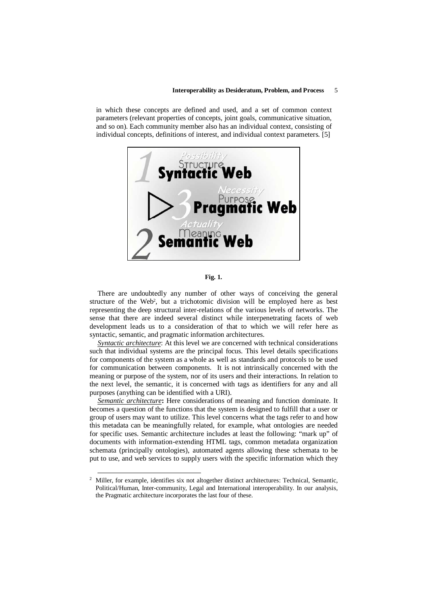#### **Interoperability as Desideratum, Problem, and Process** 5

in which these concepts are defined and used, and a set of common context parameters (relevant properties of concepts, joint goals, communicative situation, and so on). Each community member also has an individual context, consisting of individual concepts, definitions of interest, and individual context parameters. [5]



**Fig. 1.**

There are undoubtedly any number of other ways of conceiving the general structure of the Web<sup>2</sup>, but a trichotomic division will be employed here as best representing the deep structural inter-relations of the various levels of networks. The sense that there are indeed several distinct while interpenetrating facets of web development leads us to a consideration of that to which we will refer here as syntactic, semantic, and pragmatic information architectures.

*Syntactic architecture*: At this level we are concerned with technical considerations such that individual systems are the principal focus. This level details specifications for components of the system as a whole as well as standards and protocols to be used for communication between components. It is not intrinsically concerned with the meaning or purpose of the system, nor of its users and their interactions. In relation to the next level, the semantic, it is concerned with tags as identifiers for any and all purposes (anything can be identified with a URI).

*Semantic architecture***:** Here considerations of meaning and function dominate. It becomes a question of the functions that the system is designed to fulfill that a user or group of users may want to utilize. This level concerns what the tags refer to and how this metadata can be meaningfully related, for example, what ontologies are needed for specific uses. Semantic architecture includes at least the following: "mark up" of documents with information-extending HTML tags, common metadata organization schemata (principally ontologies), automated agents allowing these schemata to be put to use, and web services to supply users with the specific information which they

-

<sup>&</sup>lt;sup>2</sup> Miller, for example, identifies six not altogether distinct architectures: Technical, Semantic, Political/Human, Inter-community, Legal and International interoperability. In our analysis, the Pragmatic architecture incorporates the last four of these.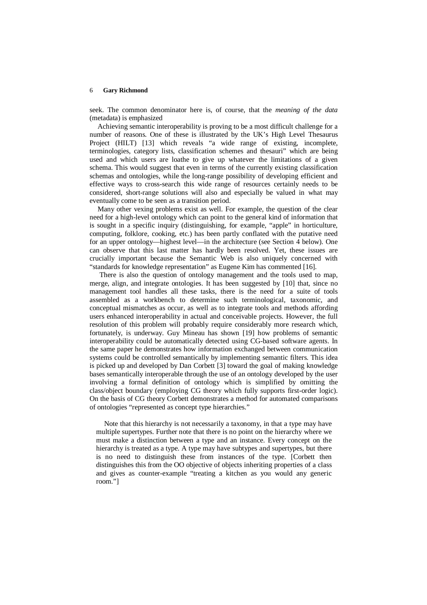seek. The common denominator here is, of course, that the *meaning of the data* (metadata) is emphasized

Achieving semantic interoperability is proving to be a most difficult challenge for a number of reasons. One of these is illustrated by the UK's High Level Thesaurus Project (HILT) [13] which reveals "a wide range of existing, incomplete, terminologies, category lists, classification schemes and thesauri" which are being used and which users are loathe to give up whatever the limitations of a given schema. This would suggest that even in terms of the currently existing classification schemas and ontologies, while the long-range possibility of developing efficient and effective ways to cross-search this wide range of resources certainly needs to be considered, short-range solutions will also and especially be valued in what may eventually come to be seen as a transition period.

Many other vexing problems exist as well. For example, the question of the clear need for a high-level ontology which can point to the general kind of information that is sought in a specific inquiry (distinguishing, for example, "apple" in horticulture, computing, folklore, cooking, etc.) has been partly conflated with the putative need for an upper ontology—highest level—in the architecture (see Section 4 below). One can observe that this last matter has hardly been resolved. Yet, these issues are crucially important because the Semantic Web is also uniquely concerned with "standards for knowledge representation" as Eugene Kim has commented [16].

 There is also the question of ontology management and the tools used to map, merge, align, and integrate ontologies. It has been suggested by [10] that, since no management tool handles all these tasks, there is the need for a suite of tools assembled as a workbench to determine such terminological, taxonomic, and conceptual mismatches as occur, as well as to integrate tools and methods affording users enhanced interoperability in actual and conceivable projects. However, the full resolution of this problem will probably require considerably more research which, fortunately, is underway. Guy Mineau has shown [19] how problems of semantic interoperability could be automatically detected using CG-based software agents. In the same paper he demonstrates how information exchanged between communication systems could be controlled semantically by implementing semantic filters. This idea is picked up and developed by Dan Corbett [3] toward the goal of making knowledge bases semantically interoperable through the use of an ontology developed by the user involving a formal definition of ontology which is simplified by omitting the class/object boundary (employing CG theory which fully supports first-order logic). On the basis of CG theory Corbett demonstrates a method for automated comparisons of ontologies "represented as concept type hierarchies."

Note that this hierarchy is not necessarily a taxonomy, in that a type may have multiple supertypes. Further note that there is no point on the hierarchy where we must make a distinction between a type and an instance. Every concept on the hierarchy is treated as a type. A type may have subtypes and supertypes, but there is no need to distinguish these from instances of the type. [Corbett then distinguishes this from the OO objective of objects inheriting properties of a class and gives as counter-example "treating a kitchen as you would any generic room."]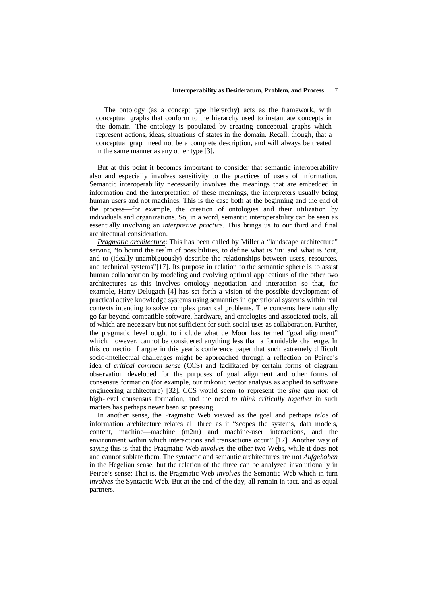The ontology (as a concept type hierarchy) acts as the framework, with conceptual graphs that conform to the hierarchy used to instantiate concepts in the domain. The ontology is populated by creating conceptual graphs which represent actions, ideas, situations of states in the domain. Recall, though, that a conceptual graph need not be a complete description, and will always be treated in the same manner as any other type [3].

But at this point it becomes important to consider that semantic interoperability also and especially involves sensitivity to the practices of users of information. Semantic interoperability necessarily involves the meanings that are embedded in information and the interpretation of these meanings, the interpreters usually being human users and not machines. This is the case both at the beginning and the end of the process—for example, the creation of ontologies and their utilization by individuals and organizations. So, in a word, semantic interoperability can be seen as essentially involving an *interpretive practice*. This brings us to our third and final architectural consideration.

*Pragmatic architecture*: This has been called by Miller a "landscape architecture" serving "to bound the realm of possibilities, to define what is 'in' and what is 'out, and to (ideally unambiguously) describe the relationships between users, resources, and technical systems"[17]. Its purpose in relation to the semantic sphere is to assist human collaboration by modeling and evolving optimal applications of the other two architectures as this involves ontology negotiation and interaction so that, for example, Harry Delugach [4] has set forth a vision of the possible development of practical active knowledge systems using semantics in operational systems within real contexts intending to solve complex practical problems. The concerns here naturally go far beyond compatible software, hardware, and ontologies and associated tools, all of which are necessary but not sufficient for such social uses as collaboration. Further, the pragmatic level ought to include what de Moor has termed "goal alignment" which, however, cannot be considered anything less than a formidable challenge. In this connection I argue in this year's conference paper that such extremely difficult socio-intellectual challenges might be approached through a reflection on Peirce's idea of *critical common sense* (CCS) and facilitated by certain forms of diagram observation developed for the purposes of goal alignment and other forms of consensus formation (for example, our trikonic vector analysis as applied to software engineering architecture) [32]. CCS would seem to represent the *sine qua non* of high-level consensus formation, and the need *to think critically together* in such matters has perhaps never been so pressing.

In another sense, the Pragmatic Web viewed as the goal and perhaps *telos* of information architecture relates all three as it "scopes the systems, data models, content, machine—machine (m2m) and machine-user interactions, and the environment within which interactions and transactions occur" [17]. Another way of saying this is that the Pragmatic Web *involves* the other two Webs, while it does not and cannot sublate them. The syntactic and semantic architectures are not *Aufgehoben* in the Hegelian sense, but the relation of the three can be analyzed involutionally in Peirce's sense: That is, the Pragmatic Web *involves* the Semantic Web which in turn *involves* the Syntactic Web. But at the end of the day, all remain in tact, and as equal partners.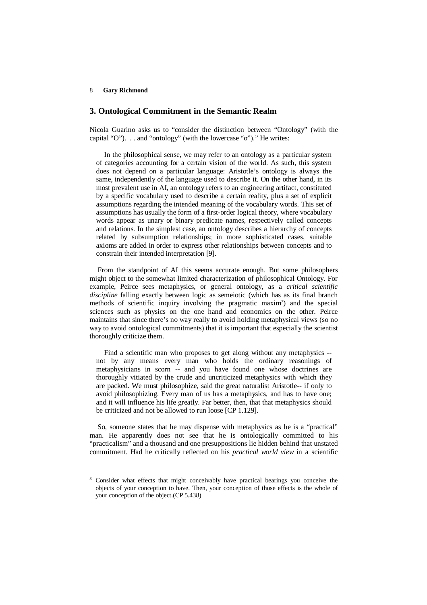-

## **3. Ontological Commitment in the Semantic Realm**

Nicola Guarino asks us to "consider the distinction between "Ontology" (with the capital "O"). . . and "ontology" (with the lowercase "o")." He writes:

In the philosophical sense, we may refer to an ontology as a particular system of categories accounting for a certain vision of the world. As such, this system does not depend on a particular language: Aristotle's ontology is always the same, independently of the language used to describe it. On the other hand, in its most prevalent use in AI, an ontology refers to an engineering artifact, constituted by a specific vocabulary used to describe a certain reality, plus a set of explicit assumptions regarding the intended meaning of the vocabulary words. This set of assumptions has usually the form of a first-order logical theory, where vocabulary words appear as unary or binary predicate names, respectively called concepts and relations. In the simplest case, an ontology describes a hierarchy of concepts related by subsumption relationships; in more sophisticated cases, suitable axioms are added in order to express other relationships between concepts and to constrain their intended interpretation [9].

From the standpoint of AI this seems accurate enough. But some philosophers might object to the somewhat limited characterization of philosophical Ontology. For example, Peirce sees metaphysics, or general ontology, as a *critical scientific discipline* falling exactly between logic as semeiotic (which has as its final branch methods of scientific inquiry involving the pragmatic maxim<sup>3</sup>) and the special sciences such as physics on the one hand and economics on the other. Peirce maintains that since there's no way really to avoid holding metaphysical views (so no way to avoid ontological commitments) that it is important that especially the scientist thoroughly criticize them.

Find a scientific man who proposes to get along without any metaphysics - not by any means every man who holds the ordinary reasonings of metaphysicians in scorn -- and you have found one whose doctrines are thoroughly vitiated by the crude and uncriticized metaphysics with which they are packed. We must philosophize, said the great naturalist Aristotle-- if only to avoid philosophizing. Every man of us has a metaphysics, and has to have one; and it will influence his life greatly. Far better, then, that that metaphysics should be criticized and not be allowed to run loose [CP 1.129].

So, someone states that he may dispense with metaphysics as he is a "practical" man. He apparently does not see that he is ontologically committed to his "practicalism" and a thousand and one presuppositions lie hidden behind that unstated commitment. Had he critically reflected on his *practical world view* in a scientific

<sup>&</sup>lt;sup>3</sup> Consider what effects that might conceivably have practical bearings you conceive the objects of your conception to have. Then, your conception of those effects is the whole of your conception of the object.(CP 5.438)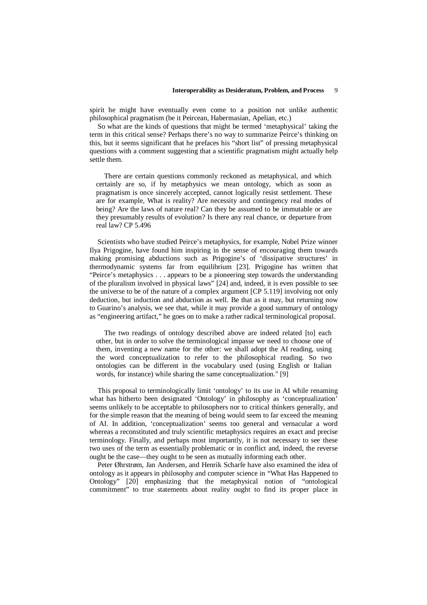spirit he might have eventually even come to a position not unlike authentic philosophical pragmatism (be it Peircean, Habermasian, Apelian, etc.)

So what are the kinds of questions that might be termed 'metaphysical' taking the term in this critical sense? Perhaps there's no way to summarize Peirce's thinking on this, but it seems significant that he prefaces his "short list" of pressing metaphysical questions with a comment suggesting that a scientific pragmatism might actually help settle them.

There are certain questions commonly reckoned as metaphysical, and which certainly are so, if by metaphysics we mean ontology, which as soon as pragmatism is once sincerely accepted, cannot logically resist settlement. These are for example, What is reality? Are necessity and contingency real modes of being? Are the laws of nature real? Can they be assumed to be immutable or are they presumably results of evolution? Is there any real chance, or departure from real law? CP 5.496

Scientists who have studied Peirce's metaphysics, for example, Nobel Prize winner Ilya Prigogine, have found him inspiring in the sense of encouraging them towards making promising abductions such as Prigogine's of 'dissipative structures' in thermodynamic systems far from equilibrium [23]. Prigogine has written that "Peirce's metaphysics . . . appears to be a pioneering step towards the understanding of the pluralism involved in physical laws" [24] and, indeed, it is even possible to see the universe to be of the nature of a complex argument [CP 5.119] involving not only deduction, but induction and abduction as well. Be that as it may, but returning now to Guarino's analysis, we see that, while it may provide a good summary of ontology as "engineering artifact," he goes on to make a rather radical terminological proposal.

The two readings of ontology described above are indeed related [to] each other, but in order to solve the terminological impasse we need to choose one of them, inventing a new name for the other: we shall adopt the AI reading, using the word conceptualization to refer to the philosophical reading. So two ontologies can be different in the vocabulary used (using English or Italian words, for instance) while sharing the same conceptualization." [9]

This proposal to terminologically limit 'ontology' to its use in AI while renaming what has hitherto been designated 'Ontology' in philosophy as 'conceptualization' seems unlikely to be acceptable to philosophers nor to critical thinkers generally, and for the simple reason that the meaning of being would seem to far exceed the meaning of AI. In addition, 'conceptualization' seems too general and vernacular a word whereas a reconstituted and truly scientific metaphysics requires an exact and precise terminology. Finally, and perhaps most importantly, it is not necessary to see these two uses of the term as essentially problematic or in conflict and, indeed, the reverse ought be the case—they ought to be seen as mutually informing each other.

Peter Øhrstrøm, Jan Andersen, and Henrik Scharfe have also examined the idea of ontology as it appears in philosophy and computer science in "What Has Happened to Ontology" [20] emphasizing that the metaphysical notion of "ontological commitment" to true statements about reality ought to find its proper place in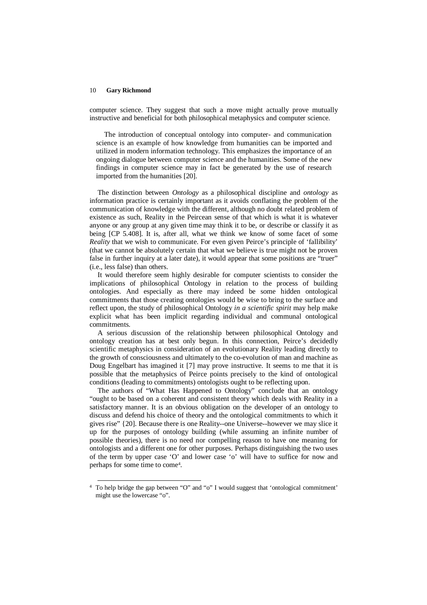computer science. They suggest that such a move might actually prove mutually instructive and beneficial for both philosophical metaphysics and computer science.

The introduction of conceptual ontology into computer- and communication science is an example of how knowledge from humanities can be imported and utilized in modern information technology. This emphasizes the importance of an ongoing dialogue between computer science and the humanities. Some of the new findings in computer science may in fact be generated by the use of research imported from the humanities [20].

The distinction between *Ontology* as a philosophical discipline and *ontology* as information practice is certainly important as it avoids conflating the problem of the communication of knowledge with the different, although no doubt related problem of existence as such, Reality in the Peircean sense of that which is what it is whatever anyone or any group at any given time may think it to be, or describe or classify it as being [CP 5.408]. It is, after all, what we think we know of some facet of some *Reality* that we wish to communicate. For even given Peirce's principle of 'fallibility' (that we cannot be absolutely certain that what we believe is true might not be proven false in further inquiry at a later date), it would appear that some positions are "truer" (i.e., less false) than others.

It would therefore seem highly desirable for computer scientists to consider the implications of philosophical Ontology in relation to the process of building ontologies. And especially as there may indeed be some hidden ontological commitments that those creating ontologies would be wise to bring to the surface and reflect upon, the study of philosophical Ontology *in a scientific spirit* may help make explicit what has been implicit regarding individual and communal ontological commitments.

A serious discussion of the relationship between philosophical Ontology and ontology creation has at best only begun. In this connection, Peirce's decidedly scientific metaphysics in consideration of an evolutionary Reality leading directly to the growth of consciousness and ultimately to the co-evolution of man and machine as Doug Engelbart has imagined it [7] may prove instructive. It seems to me that it is possible that the metaphysics of Peirce points precisely to the kind of ontological conditions (leading to commitments) ontologists ought to be reflecting upon.

The authors of "What Has Happened to Ontology" conclude that an ontology "ought to be based on a coherent and consistent theory which deals with Reality in a satisfactory manner. It is an obvious obligation on the developer of an ontology to discuss and defend his choice of theory and the ontological commitments to which it gives rise" {20]. Because there is one Reality--one Universe--however we may slice it up for the purposes of ontology building (while assuming an infinite number of possible theories), there is no need nor compelling reason to have one meaning for ontologists and a different one for other purposes. Perhaps distinguishing the two uses of the term by upper case 'O' and lower case 'o' will have to suffice for now and perhaps for some time to come<sup>4</sup> .

 4 To help bridge the gap between "O" and "o" I would suggest that 'ontological commitment' might use the lowercase "o".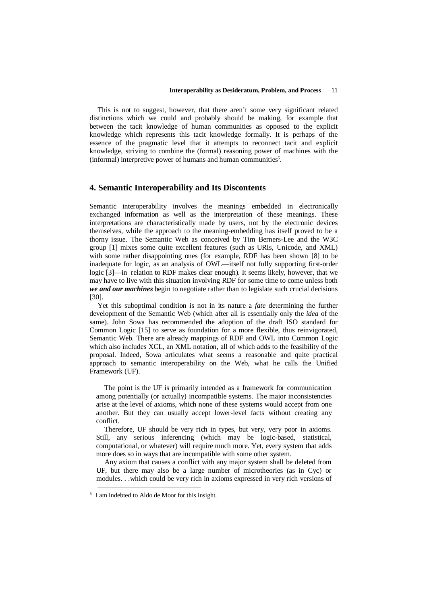This is not to suggest, however, that there aren't some very significant related distinctions which we could and probably should be making, for example that between the tacit knowledge of human communities as opposed to the explicit knowledge which represents this tacit knowledge formally. It is perhaps of the essence of the pragmatic level that it attempts to reconnect tacit and explicit knowledge, striving to combine the (formal) reasoning power of machines with the (informal) interpretive power of humans and human communities<sup>5</sup>.

## **4. Semantic Interoperability and Its Discontents**

Semantic interoperability involves the meanings embedded in electronically exchanged information as well as the interpretation of these meanings. These interpretations are characteristically made by users, not by the electronic devices themselves, while the approach to the meaning-embedding has itself proved to be a thorny issue. The Semantic Web as conceived by Tim Berners-Lee and the W3C group [1] mixes some quite excellent features (such as URIs, Unicode, and XML) with some rather disappointing ones (for example, RDF has been shown [8] to be inadequate for logic, as an analysis of OWL—itself not fully supporting first-order logic [3]—in relation to RDF makes clear enough). It seems likely, however, that we may have to live with this situation involving RDF for some time to come unless both *we and our machines* begin to negotiate rather than to legislate such crucial decisions [30].

Yet this suboptimal condition is not in its nature a *fate* determining the further development of the Semantic Web (which after all is essentially only the *idea* of the same). John Sowa has recommended the adoption of the draft ISO standard for Common Logic [15] to serve as foundation for a more flexible, thus reinvigorated, Semantic Web. There are already mappings of RDF and OWL into Common Logic which also includes XCL, an XML notation, all of which adds to the feasibility of the proposal. Indeed, Sowa articulates what seems a reasonable and quite practical approach to semantic interoperability on the Web, what he calls the Unified Framework (UF).

The point is the UF is primarily intended as a framework for communication among potentially (or actually) incompatible systems. The major inconsistencies arise at the level of axioms, which none of these systems would accept from one another. But they can usually accept lower-level facts without creating any conflict.

Therefore, UF should be very rich in types, but very, very poor in axioms. Still, any serious inferencing (which may be logic-based, statistical, computational, or whatever) will require much more. Yet, every system that adds more does so in ways that are incompatible with some other system.

Any axiom that causes a conflict with any major system shall be deleted from UF, but there may also be a large number of microtheories (as in Cyc) or modules. . .which could be very rich in axioms expressed in very rich versions of

-

<sup>5</sup> I am indebted to Aldo de Moor for this insight.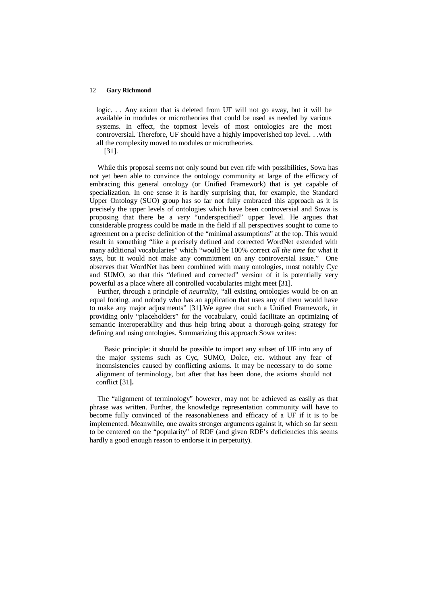logic. . . Any axiom that is deleted from UF will not go away, but it will be available in modules or microtheories that could be used as needed by various systems. In effect, the topmost levels of most ontologies are the most controversial. Therefore, UF should have a highly impoverished top level. . .with all the complexity moved to modules or microtheories.

[31].

While this proposal seems not only sound but even rife with possibilities, Sowa has not yet been able to convince the ontology community at large of the efficacy of embracing this general ontology (or Unified Framework) that is yet capable of specialization. In one sense it is hardly surprising that, for example, the Standard Upper Ontology (SUO) group has so far not fully embraced this approach as it is precisely the upper levels of ontologies which have been controversial and Sowa is proposing that there be a *very* "underspecified" upper level. He argues that considerable progress could be made in the field if all perspectives sought to come to agreement on a precise definition of the "minimal assumptions" at the top. This would result in something "like a precisely defined and corrected WordNet extended with many additional vocabularies" which "would be 100% correct *all the time* for what it says, but it would not make any commitment on any controversial issue." One observes that WordNet has been combined with many ontologies, most notably Cyc and SUMO, so that this "defined and corrected" version of it is potentially very powerful as a place where all controlled vocabularies might meet [31].

Further, through a principle of *neutrality,* "all existing ontologies would be on an equal footing, and nobody who has an application that uses any of them would have to make any major adjustments" [31].We agree that such a Unified Framework, in providing only "placeholders" for the vocabulary, could facilitate an optimizing of semantic interoperability and thus help bring about a thorough-going strategy for defining and using ontologies. Summarizing this approach Sowa writes:

Basic principle: it should be possible to import any subset of UF into any of the major systems such as Cyc, SUMO, Dolce, etc. without any fear of inconsistencies caused by conflicting axioms. It may be necessary to do some alignment of terminology, but after that has been done, the axioms should not conflict [31**].**

The "alignment of terminology" however, may not be achieved as easily as that phrase was written. Further, the knowledge representation community will have to become fully convinced of the reasonableness and efficacy of a UF if it is to be implemented. Meanwhile, one awaits stronger arguments against it, which so far seem to be centered on the "popularity" of RDF (and given RDF's deficiencies this seems hardly a good enough reason to endorse it in perpetuity).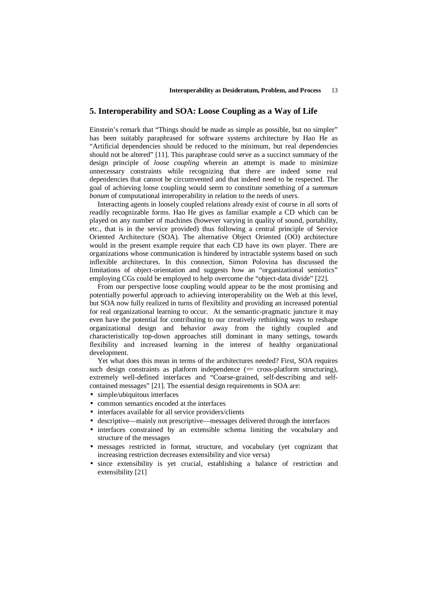## **5. Interoperability and SOA: Loose Coupling as a Way of Life**

Einstein's remark that "Things should be made as simple as possible, but no simpler" has been suitably paraphrased for software systems architecture by Hao He as "Artificial dependencies should be reduced to the minimum, but real dependencies should not be altered" [11]. This paraphrase could serve as a succinct summary of the design principle of *loose coupling* wherein an attempt is made to minimize unnecessary constraints while recognizing that there are indeed some real dependencies that cannot be circumvented and that indeed need to be respected. The goal of achieving loose coupling would seem to constitute something of a *summum bonum* of computational interoperability in relation to the needs of users.

Interacting agents in loosely coupled relations already exist of course in all sorts of readily recognizable forms. Hao He gives as familiar example a CD which can be played on any number of machines (however varying in quality of sound, portability, etc., that is in the service provided) thus following a central principle of Service Oriented Architecture (SOA). The alternative Object Oriented (OO) architecture would in the present example require that each CD have its own player. There are organizations whose communication is hindered by intractable systems based on such inflexible architectures. In this connection, Simon Polovina has discussed the limitations of object-orientation and suggests how an "organizational semiotics" employing CGs could be employed to help overcome the "object-data divide" [22].

From our perspective loose coupling would appear to be the most promising and potentially powerful approach to achieving interoperability on the Web at this level, but SOA now fully realized in turns of flexibility and providing an increased potential for real organizational learning to occur. At the semantic-pragmatic juncture it may even have the potential for contributing to our creatively rethinking ways to reshape organizational design and behavior away from the tightly coupled and characteristically top-down approaches still dominant in many settings, towards flexibility and increased learning in the interest of healthy organizational development.

Yet what does this mean in terms of the architectures needed? First, SOA requires such design constraints as platform independence  $(= \text{cross-platform structuring})$ , extremely well-defined interfaces and "Coarse-grained, self-describing and selfcontained messages" [21]. The essential design requirements in SOA are:

- simple/ubiquitous interfaces
- common semantics encoded at the interfaces
- interfaces available for all service providers/clients
- descriptive—mainly not prescriptive—messages delivered through the interfaces
- interfaces constrained by an extensible schema limiting the vocabulary and structure of the messages
- messages restricted in format, structure, and vocabulary (yet cognizant that increasing restriction decreases extensibility and vice versa)
- since extensibility is yet crucial, establishing a balance of restriction and extensibility [21]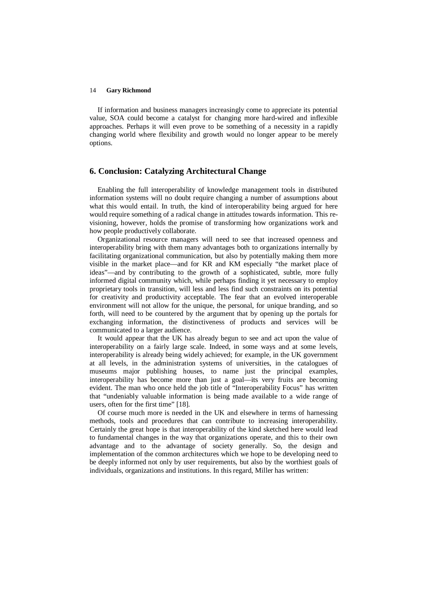If information and business managers increasingly come to appreciate its potential value, SOA could become a catalyst for changing more hard-wired and inflexible approaches. Perhaps it will even prove to be something of a necessity in a rapidly changing world where flexibility and growth would no longer appear to be merely options.

## **6. Conclusion: Catalyzing Architectural Change**

Enabling the full interoperability of knowledge management tools in distributed information systems will no doubt require changing a number of assumptions about what this would entail. In truth, the kind of interoperability being argued for here would require something of a radical change in attitudes towards information. This revisioning, however, holds the promise of transforming how organizations work and how people productively collaborate.

Organizational resource managers will need to see that increased openness and interoperability bring with them many advantages both to organizations internally by facilitating organizational communication, but also by potentially making them more visible in the market place—and for KR and KM especially "the market place of ideas"—and by contributing to the growth of a sophisticated, subtle, more fully informed digital community which, while perhaps finding it yet necessary to employ proprietary tools in transition, will less and less find such constraints on its potential for creativity and productivity acceptable. The fear that an evolved interoperable environment will not allow for the unique, the personal, for unique branding, and so forth, will need to be countered by the argument that by opening up the portals for exchanging information, the distinctiveness of products and services will be communicated to a larger audience.

It would appear that the UK has already begun to see and act upon the value of interoperability on a fairly large scale. Indeed, in some ways and at some levels, interoperability is already being widely achieved; for example, in the UK government at all levels, in the administration systems of universities, in the catalogues of museums major publishing houses, to name just the principal examples, interoperability has become more than just a goal—its very fruits are becoming evident. The man who once held the job title of "Interoperability Focus" has written that "undeniably valuable information is being made available to a wide range of users, often for the first time" [18].

Of course much more is needed in the UK and elsewhere in terms of harnessing methods, tools and procedures that can contribute to increasing interoperability. Certainly the great hope is that interoperability of the kind sketched here would lead to fundamental changes in the way that organizations operate, and this to their own advantage and to the advantage of society generally. So, the design and implementation of the common architectures which we hope to be developing need to be deeply informed not only by user requirements, but also by the worthiest goals of individuals, organizations and institutions. In this regard, Miller has written: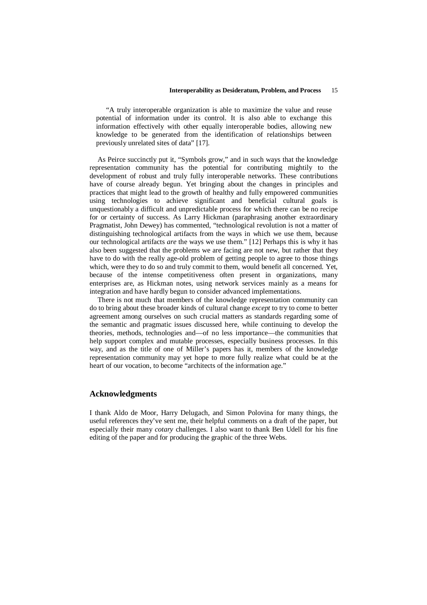"A truly interoperable organization is able to maximize the value and reuse potential of information under its control. It is also able to exchange this information effectively with other equally interoperable bodies, allowing new knowledge to be generated from the identification of relationships between previously unrelated sites of data" [17].

As Peirce succinctly put it, "Symbols grow," and in such ways that the knowledge representation community has the potential for contributing mightily to the development of robust and truly fully interoperable networks. These contributions have of course already begun. Yet bringing about the changes in principles and practices that might lead to the growth of healthy and fully empowered communities using technologies to achieve significant and beneficial cultural goals is unquestionably a difficult and unpredictable process for which there can be no recipe for or certainty of success. As Larry Hickman (paraphrasing another extraordinary Pragmatist, John Dewey) has commented, "technological revolution is not a matter of distinguishing technological artifacts from the ways in which we use them, because our technological artifacts *are* the ways we use them." [12] Perhaps this is why it has also been suggested that the problems we are facing are not new, but rather that they have to do with the really age-old problem of getting people to agree to those things which, were they to do so and truly commit to them, would benefit all concerned. Yet, because of the intense competitiveness often present in organizations, many enterprises are, as Hickman notes, using network services mainly as a means for integration and have hardly begun to consider advanced implementations.

There is not much that members of the knowledge representation community can do to bring about these broader kinds of cultural change *except* to try to come to better agreement among ourselves on such crucial matters as standards regarding some of the semantic and pragmatic issues discussed here, while continuing to develop the theories, methods, technologies and—of no less importance—the communities that help support complex and mutable processes, especially business processes. In this way, and as the title of one of Miller's papers has it, members of the knowledge representation community may yet hope to more fully realize what could be at the heart of our vocation, to become "architects of the information age."

## **Acknowledgments**

I thank Aldo de Moor, Harry Delugach, and Simon Polovina for many things, the useful references they've sent me, their helpful comments on a draft of the paper, but especially their many *cotary* challenges. I also want to thank Ben Udell for his fine editing of the paper and for producing the graphic of the three Webs.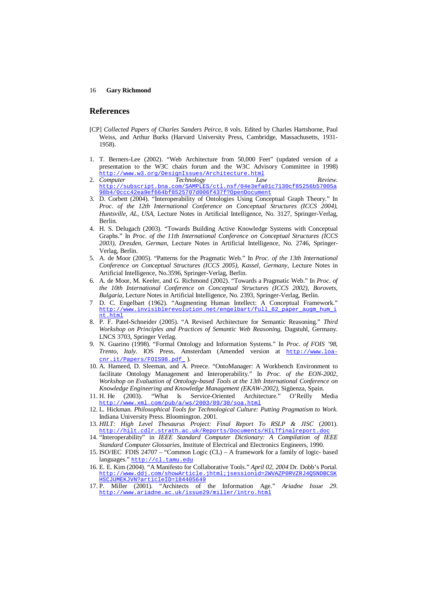## **References**

- [CP] *Collected Papers of Charles Sanders Peirce*, 8 vols. Edited by Charles Hartshorne, Paul Weiss, and Arthur Burks (Harvard University Press, Cambridge, Massachusetts, 1931- 1958).
- 1. T. Berners-Lee (2002). "Web Architecture from 50,000 Feet" (updated version of a presentation to the W3C chairs forum and the W3C Advisory Committee in 1998) http://www.w3.org/DesignIssues/Architecture.html<br>Computer Technology Lav
- 2. *Computer Technology Law Review*. http://subscript.bna.com/SAMPLES/ctl.nsf/04e3efa01c7130cf85256b57005a 98b4/0ccc42ea9ef664bf8525707d006f437f?OpenDocument
- 3. D. Corbett (2004). "Interoperability of Ontologies Using Conceptual Graph Theory." In *Proc. of the 12th International Conference on Conceptual Structures (ICCS 2004), Huntsville, AL, USA,* Lecture Notes in Artificial Intelligence, No. 3127, Springer-Verlag, Berlin.
- 4. H. S. Delugach (2003). "Towards Building Active Knowledge Systems with Conceptual Graphs." In *Proc. of the 11th International Conference on Conceptual Structures (ICCS 2003), Dresden, German,* Lecture Notes in Artificial Intelligence, No. 2746, Springer-Verlag, Berlin.
- 5. A. de Moor (2005). "Patterns for the Pragmatic Web." In *Proc. of the 13th International Conference on Conceptual Structures (ICCS 2005), Kassel, Germany, Lecture Notes in* Artificial Intelligence, No.3596, Springer-Verlag, Berlin.
- 6. A. de Moor, M. Keeler, and G. Richmond (2002). "Towards a Pragmatic Web." In *Proc. of the 10th International Conference on Conceptual Structures (ICCS 2002), Borovets, Bulgaria,* Lecture Notes in Artificial Intelligence, No. 2393, Springer-Verlag, Berlin.
- 7 D. C. Engelbart (1962). "Augmenting Human Intellect: A Conceptual Framework." http://www.invisiblerevolution.net/engelbart/full 62 paper\_augm\_hum\_i nt.html
- 8. P. F. Patel-Schneider (2005). "A Revised Architecture for Semantic Reasoning." *Third Workshop on Principles and Practices of Semantic Web Reasoning*, Dagstuhl, Germany. LNCS 3703, Springer Verlag.
- 9. N. Guarino (1998). "Formal Ontology and Information Systems." In *Proc. of FOIS '98, Trento, Italy*. IOS Press, Amsterdam (Amended version at http://www.loacnr.it/Papers/FOIS98.pdf ).
- 10. A. Hameed, D. Sleeman, and A. Preece. "OntoManager: A Workbench Environment to facilitate Ontology Management and Interoperability." In *Proc. of the EON-2002, Workshop on Evaluation of Ontology-based Tools at the 13th International Conference on Knowledge Engineering and Knowledge Management (EKAW-2002),* Sigüenza, Spain.
- 11. H. He (2003). "What Is Service-Oriented Architecture." O'Reilly Media tp://www.xml.com/pub/a/ws/2003/09/30/soa.htm
- 12. L. Hickman. *Philosophical Tools for Technological Culture: Putting Pragmatism to Work*. Indiana University Press. Bloomington. 2001.
- 13. *HILT: High Level Thesaurus Project: Final Report To RSLP & JISC* (2001). http://hilt.cdlr.strath.ac.uk/Reports/Documents/HILT
- 14. "Interoperability" in *IEEE Standard Computer Dictionary: A Compilation of IEEE Standard Computer Glossaries*, Institute of Electrical and Electronics Engineers, 1990.
- 15. ISO/IEC FDIS 24707 "Common Logic (CL) A framework for a family of logic- based languages." http://cl.tamu.edu
- 16. E. E. Kim (2004). "A Manifesto for Collaborative Tools." *April 02, 2004* Dr. Dobb's Portal. http://www.ddj.com/showArticle.jhtml;jsessionid=2WVAZP0RVZRJ4QSNDBCSK HSCJUMEKJVN?articleID=184405649
- 17. P. Miller (2001). "Architects of the Information Age." *Ariadne Issue 29*. http://www.ariadne.ac.uk/issue29/miller/intro.html